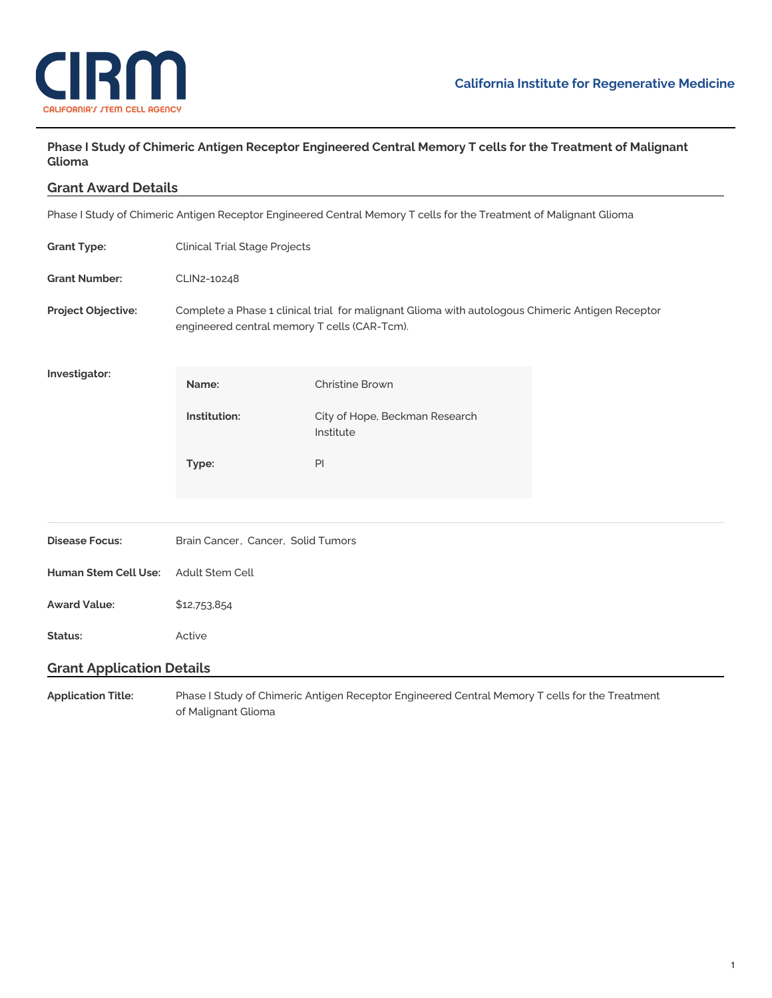

# Phase I Study of Chimeric Antigen Receptor Engineered Central Memory T cells for the Treatment of Malignant **Glioma**

**Grant Award Details**

Phase I Study of Chimeric Antigen Receptor Engineered Central Memory T cells for the Treatment of Malignant Glioma

| <b>Grant Type:</b>               | <b>Clinical Trial Stage Projects</b>                                                                                                             |                                             |  |
|----------------------------------|--------------------------------------------------------------------------------------------------------------------------------------------------|---------------------------------------------|--|
| <b>Grant Number:</b>             | CLIN2-10248                                                                                                                                      |                                             |  |
| Project Objective:               | Complete a Phase 1 clinical trial for malignant Glioma with autologous Chimeric Antigen Receptor<br>engineered central memory T cells (CAR-Tcm). |                                             |  |
| Investigator:                    | Name:                                                                                                                                            | <b>Christine Brown</b>                      |  |
|                                  | Institution:                                                                                                                                     | City of Hope, Beckman Research<br>Institute |  |
|                                  | Type:                                                                                                                                            | PI                                          |  |
| <b>Disease Focus:</b>            | Brain Cancer, Cancer, Solid Tumors                                                                                                               |                                             |  |
| <b>Human Stem Cell Use:</b>      | Adult Stem Cell                                                                                                                                  |                                             |  |
| <b>Award Value:</b>              | \$12,753,854                                                                                                                                     |                                             |  |
| Status:                          | Active                                                                                                                                           |                                             |  |
| <b>Grant Application Details</b> |                                                                                                                                                  |                                             |  |
| <b>Application Title:</b>        | Phase I Study of Chimeric Antigen Receptor Engineered Central Memory T cells for the Treatment                                                   |                                             |  |

of Malignant Glioma